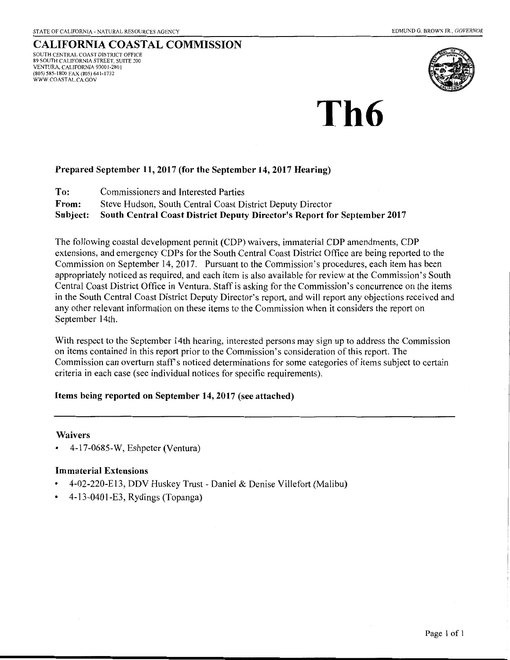#### CALIFORNIA COASTAL COMMISSION SOUTH CENTRAL COAST DISTRICT OFFICE 89 SOUTH CALIFORNIA STREET, SUITE 200 VENTURA, CALIFORNIA 93001-2801 (805) 585-1800 FAX (805) 641-1732 WWW.COASTAL.CA.GOV



# **Th6**

## Prepared September 11, 2017 (for the September 14, 2017 Hearing)

To: Commissioners and Interested Parties

From: Steve Hudson, South Central Coast District Deputy Director

Subject: South Central Coast District Deputy Director's Report for September 2017

The following coastal development permit (CDP) waivers, immaterial CDP amendments, CDP extensions, and emergency CDPs for the South Central Coast District Office are being reported to the Commission on September 14, 2017. Pursuant to the Commission's procedures, each item has been appropriately noticed as required, and each item is also available for review at the Commission's South Central Coast District Office in Ventura. Staff is asking for the Commission's concurrence on the items in the South Central Coast District Deputy Director's report, and will report any objections received and any other relevant information on these items to the Commission when it considers the report on September 14th.

With respect to the September 14th hearing, interested persons may sign up to address the Commission on items contained in this report prior to the Commission's consideration of this report. The Commission can overturn staff's noticed determinations for some categories of items subject to certain criteria in each case (see individual notices for specific requirements).

## Items being reported on September 14, 2017 (see attached)

### Waivers

• 4-17-0685-W, Eshpeter (Ventura)

## Immaterial Extensions

- 4-02-220-El3, DDV Huskey Trust- Daniel & Denise Villefort (Malibu)
- 4-13-0401-£3, Rydings (Topanga)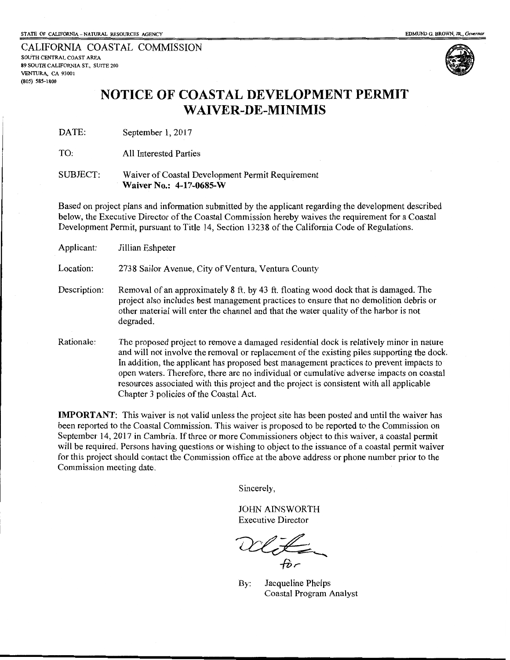CALIFORNIA COASTAL COMMISSION SOUTHCENTRALCOASTAREA 89 SOUTH CALIFORNIA ST., SUITE 200 VENTURA, CA 93001 (805) 585-1800



## **NOTICE OF COASTAL DEVELOPMENT PERMIT WAIVER-DE-MINIMIS**

DATE: September 1, 2017

TO: All Interested Parties

#### SUBJECT: Waiver of Coastal Development Permit Requirement **Waiver No.: 4-17-0685-W**

Based on project plans and information submitted by the applicant regarding the development described below, the Executive Director of the Coastal Commission hereby waives the requirement for a Coastal Development Permit, pursuant to Title 14, Section 13238 of the California Code of Regulations.

| Applicant:   | Jillian Eshpeter                                                                                                                                                                                                                                                                                                                                                                                                                                                                                                   |
|--------------|--------------------------------------------------------------------------------------------------------------------------------------------------------------------------------------------------------------------------------------------------------------------------------------------------------------------------------------------------------------------------------------------------------------------------------------------------------------------------------------------------------------------|
| Location:    | 2738 Sailor Avenue, City of Ventura, Ventura County                                                                                                                                                                                                                                                                                                                                                                                                                                                                |
| Description: | Removal of an approximately 8 ft. by 43 ft. floating wood dock that is damaged. The<br>project also includes best management practices to ensure that no demolition debris or<br>other material will enter the channel and that the water quality of the harbor is not<br>degraded.                                                                                                                                                                                                                                |
| Rationale:   | The proposed project to remove a damaged residential dock is relatively minor in nature<br>and will not involve the removal or replacement of the existing piles supporting the dock.<br>In addition, the applicant has proposed best management practices to prevent impacts to<br>open waters. Therefore, there are no individual or cumulative adverse impacts on coastal<br>resources associated with this project and the project is consistent with all applicable<br>Chapter 3 policies of the Coastal Act. |

**IMPORTANT:** This waiver is not valid unless the project site has been posted and until the waiver has been reported to the Coastal Commission. This waiver is proposed to be reported to the Commission on September 14, 2017 in Cambria. If three or more Commissioners object to this waiver, a coastal permit will be required. Persons having questions or wishing to object to the issuance of a coastal permit waiver for this project should contact the Commission office at the above address or phone number prior to the Commission meeting date.

Sincerely,

JOHN AINSWORTH Executive Director

By: Jacqueline Phelps Coastal Program Analyst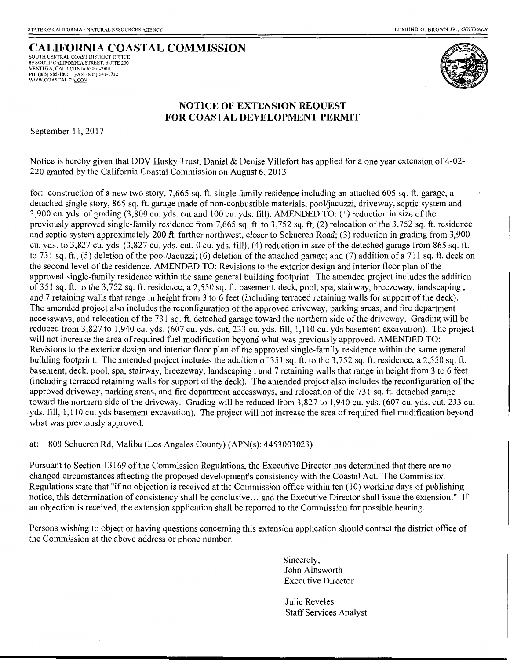## **CALIFORNIA COASTAL COMMISSION**

SOUTH CENTRAL COAST DISTRICT OFFICE 89 SOUTH CALIFORNIA STREET, SUITE 200 VENTURA, CALIFORNIA 93001-2801 PH (805) 585-1800 FAX (805) 641-1732 WWW.COASTAL.CA.GOV



## **NOTICE OF EXTENSION REQUEST FOR COASTAL DEVELOPMENT PERMIT**

September 11, 2017

Notice is hereby given that DDV Husky Trust, Daniel & Denise Villefort has applied for a one year extension of 4-02- 220 granted by the California Coastal Commission on August 6, 2013

for: construction of a new two story, 7,665 sq. ft. single family residence including an attached 605 sq. ft. garage, a detached single story, 865 sq. ft. garage made of non-conbustible materials, pool/jacuzzi, driveway, septic system and 3,900 cu. yds. of grading (3,800 cu. yds. cut and 100 cu. yds. fill). AMENDED TO: (1) reduction in size of the previously approved single-family residence from 7,665 sq. ft. to 3,752 sq. ft; (2) relocation of the 3,752 sq. ft. residence and septic system approximately 200 ft. farther northwest, closer to Schueren Road; (3) reduction in grading from 3,900 cu. yds. to 3,827 cu. yds. (3,827 cu. yds. cut, 0 cu. yds. fill); (4) reduction in size ofthe detached garage from 865 sq. ft. to 731 sq. ft.; (5) deletion of the pool/Jacuzzi; (6) deletion of the attached garage; and (7) addition of a 711 sq. ft. deck on the second level of the residence. AMENDED TO: Revisions to the exterior design and interior floor plan of the approved single-family residence within the same general building footprint. The amended project includes the addition of 351 sq. ft. to the 3, 752 sq. ft. residence, a 2,550 sq. ft. basement, deck, pool, spa, stairway, breezeway, landscaping, and 7 retaining walls that range in height from 3 to 6 feet (including terraced retaining walls for support of the deck). The amended project also includes the reconfiguration of the approved driveway, parking areas, and fire department accessways, and relocation of the 731 sq. ft. detached garage toward the northern side of the driveway. Grading will be reduced from 3,827 to 1,940 cu. yds. (607 cu. yds. cut, 233 cu. yds. fill, 1,110 cu. yds basement excavation). The project will not increase the area of required fuel modification beyond what was previously approved. AMENDED TO: Revisions to the exterior design and interior floor plan of the approved single-family residence within the same general building footprint. The amended project includes the addition of 351 sq. ft. to the 3,752 sq. ft. residence, a 2,550 sq. ft. basement, deck, pool, spa, stairway, breezeway, landscaping, and 7 retaining walls that range in height from 3 to 6 feet (including terraced retaining walls for support of the deck). The amended project also includes the reconfiguration of the approved driveway, parking areas, and fire department accessways, and relocation of the 731 sq. ft. detached garage toward the northern side of the driveway. Grading will be reduced from 3,827 to 1,940 cu. yds. (607 cu. yds. cut, 233 cu. yds. fill, 1,110 cu. yds basement excavation). The project will not increase the area of required fuel modification beyond what was previously approved.

at: 800 Schueren Rd, Malibu (Los Angeles County) (APN(s): 4453003023)

Pursuant to Section 13169 of the Commission Regulations, the Executive Director has determined that there are no changed circumstances affecting the proposed development's consistency with the Coastal Act. The Commission Regulations state that "if no objection is received at the Commission office within ten  $(10)$  working days of publishing notice, this determination of consistency shall be conclusive ... and the Executive Director shall issue the extension." If an objection is received, the extension application shall be reported to the Commission for possible hearing.

Persons wishing to object or having questions concerning this extension application should contact the district office of the Commission at the above address or phone number.

> Sincerely, John Ainsworth Executive Director

Julie Reveles Staff Services Analyst